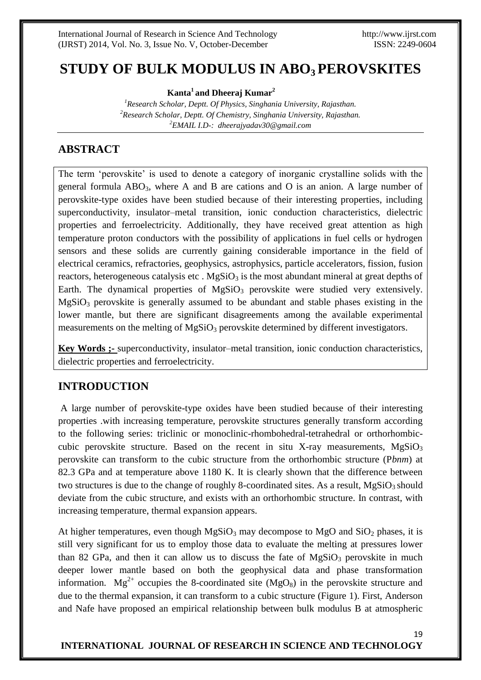# **STUDY OF BULK MODULUS IN ABO3 PEROVSKITES**

**Kanta<sup>1</sup>and Dheeraj Kumar<sup>2</sup>**

*<sup>1</sup>Research Scholar, Deptt. Of Physics, Singhania University, Rajasthan. <sup>2</sup>Research Scholar, Deptt. Of Chemistry, Singhania University, Rajasthan. <sup>2</sup>EMAIL I.D-: dheerajyadav30@gmail.com*

# **ABSTRACT**

The term 'perovskite' is used to denote a category of inorganic crystalline solids with the general formula  $ABO_3$ , where A and B are cations and O is an anion. A large number of perovskite-type oxides have been studied because of their interesting properties, including superconductivity, insulator–metal transition, ionic conduction characteristics, dielectric properties and ferroelectricity. Additionally, they have received great attention as high temperature proton conductors with the possibility of applications in fuel cells or hydrogen sensors and these solids are currently gaining considerable importance in the field of electrical ceramics, refractories, geophysics, astrophysics, particle accelerators, fission, fusion reactors, heterogeneous catalysis etc.  $MgSiO<sub>3</sub>$  is the most abundant mineral at great depths of Earth. The dynamical properties of  $MgSiO<sub>3</sub>$  perovskite were studied very extensively.  $MgSiO<sub>3</sub>$  perovskite is generally assumed to be abundant and stable phases existing in the lower mantle, but there are significant disagreements among the available experimental measurements on the melting of  $MgSiO<sub>3</sub>$  perovskite determined by different investigators.

**Key Words ;-** superconductivity, insulator–metal transition, ionic conduction characteristics, dielectric properties and ferroelectricity.

## **INTRODUCTION**

A large number of perovskite-type oxides have been studied because of their interesting properties .with increasing temperature, perovskite structures generally transform according to the following series: triclinic or monoclinic-rhombohedral-tetrahedral or orthorhombiccubic perovskite structure. Based on the recent in situ X-ray measurements,  $MgSiO<sub>3</sub>$ perovskite can transform to the cubic structure from the orthorhombic structure (P*bnm*) at 82.3 GPa and at temperature above 1180 K. It is clearly shown that the difference between two structures is due to the change of roughly 8-coordinated sites. As a result,  $MgSiO<sub>3</sub>$  should deviate from the cubic structure, and exists with an orthorhombic structure. In contrast, with increasing temperature, thermal expansion appears.

At higher temperatures, even though  $MgSiO<sub>3</sub>$  may decompose to  $MgO$  and  $SiO<sub>2</sub>$  phases, it is still very significant for us to employ those data to evaluate the melting at pressures lower than 82 GPa, and then it can allow us to discuss the fate of  $MgSiO<sub>3</sub>$  perovskite in much deeper lower mantle based on both the geophysical data and phase transformation information.  $Mg^{2+}$  occupies the 8-coordinated site (MgO<sub>8</sub>) in the perovskite structure and due to the thermal expansion, it can transform to a cubic structure (Figure 1). First, Anderson and Nafe have proposed an empirical relationship between bulk modulus B at atmospheric

### **INTERNATIONAL JOURNAL OF RESEARCH IN SCIENCE AND TECHNOLOGY**

19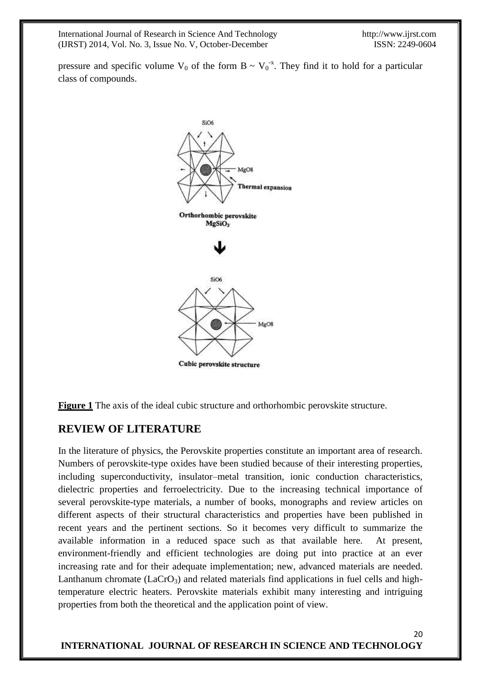20

pressure and specific volume  $V_0$  of the form  $B \sim V_0^{-x}$ . They find it to hold for a particular class of compounds.



**Figure 1** The axis of the ideal cubic structure and orthorhombic perovskite structure.

## **REVIEW OF LITERATURE**

In the literature of physics, the Perovskite properties constitute an important area of research. Numbers of perovskite-type oxides have been studied because of their interesting properties, including superconductivity, insulator–metal transition, ionic conduction characteristics, dielectric properties and ferroelectricity. Due to the increasing technical importance of several perovskite-type materials, a number of books, monographs and review articles on different aspects of their structural characteristics and properties have been published in recent years and the pertinent sections. So it becomes very difficult to summarize the available information in a reduced space such as that available here. At present, environment-friendly and efficient technologies are doing put into practice at an ever increasing rate and for their adequate implementation; new, advanced materials are needed. Lanthanum chromate  $(LaCrO<sub>3</sub>)$  and related materials find applications in fuel cells and hightemperature electric heaters. Perovskite materials exhibit many interesting and intriguing properties from both the theoretical and the application point of view.

**INTERNATIONAL JOURNAL OF RESEARCH IN SCIENCE AND TECHNOLOGY**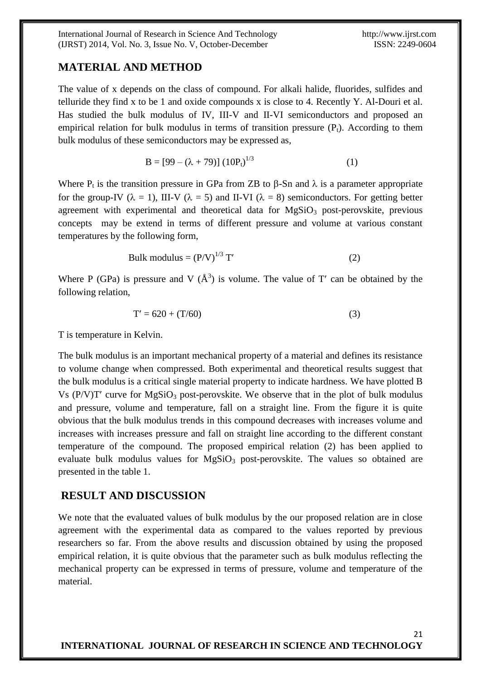21

#### **MATERIAL AND METHOD**

The value of x depends on the class of compound. For alkali halide, fluorides, sulfides and telluride they find x to be 1 and oxide compounds x is close to 4. Recently Y. Al-Douri et al. Has studied the bulk modulus of IV, III-V and II-VI semiconductors and proposed an empirical relation for bulk modulus in terms of transition pressure  $(P_t)$ . According to them bulk modulus of these semiconductors may be expressed as,

$$
B = [99 - (\lambda + 79)] (10Pt)1/3
$$
 (1)

Where  $P_t$  is the transition pressure in GPa from ZB to  $\beta$ -Sn and  $\lambda$  is a parameter appropriate for the group-IV ( $\lambda = 1$ ), III-V ( $\lambda = 5$ ) and II-VI ( $\lambda = 8$ ) semiconductors. For getting better agreement with experimental and theoretical data for  $MgSiO<sub>3</sub>$  post-perovskite, previous concepts may be extend in terms of different pressure and volume at various constant temperatures by the following form,

Bulk modulus = 
$$
(P/V)^{1/3}
$$
 T' (2)

Where P (GPa) is pressure and V  $(\AA^3)$  is volume. The value of T' can be obtained by the following relation,

$$
T' = 620 + (T/60)
$$
 (3)

T is temperature in Kelvin.

The bulk modulus is an important mechanical property of a material and defines its resistance to volume change when compressed. Both experimental and theoretical results suggest that the bulk modulus is a critical single material property to indicate hardness. We have plotted B Vs  $(P/V)T'$  curve for MgSiO<sub>3</sub> post-perovskite. We observe that in the plot of bulk modulus and pressure, volume and temperature, fall on a straight line. From the figure it is quite obvious that the bulk modulus trends in this compound decreases with increases volume and increases with increases pressure and fall on straight line according to the different constant temperature of the compound. The proposed empirical relation (2) has been applied to evaluate bulk modulus values for  $MgSiO<sub>3</sub>$  post-perovskite. The values so obtained are presented in the table 1.

#### **RESULT AND DISCUSSION**

We note that the evaluated values of bulk modulus by the our proposed relation are in close agreement with the experimental data as compared to the values reported by previous researchers so far. From the above results and discussion obtained by using the proposed empirical relation, it is quite obvious that the parameter such as bulk modulus reflecting the mechanical property can be expressed in terms of pressure, volume and temperature of the material.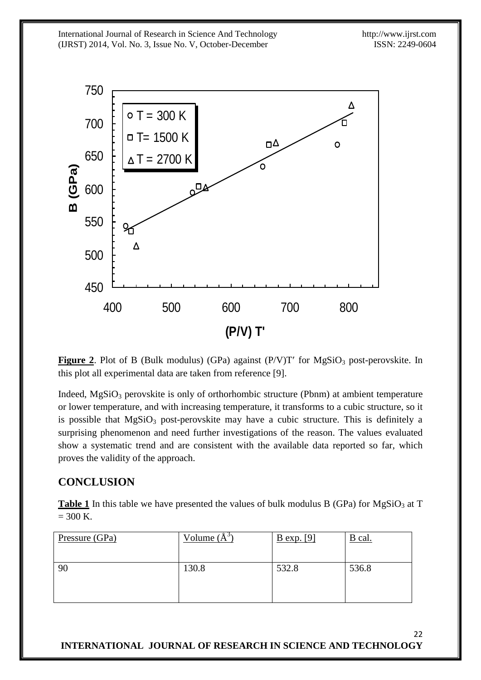

**Figure 2.** Plot of B (Bulk modulus) (GPa) against  $(P/V)T'$  for  $MgSiO<sub>3</sub>$  post-perovskite. In this plot all experimental data are taken from reference [9].

Indeed,  $MgSiO<sub>3</sub>$  perovskite is only of orthorhombic structure (Pbnm) at ambient temperature or lower temperature, and with increasing temperature, it transforms to a cubic structure, so it is possible that  $MgSiO<sub>3</sub>$  post-perovskite may have a cubic structure. This is definitely a surprising phenomenon and need further investigations of the reason. The values evaluated show a systematic trend and are consistent with the available data reported so far, which proves the validity of the approach.

## **CONCLUSION**

**Table 1** In this table we have presented the values of bulk modulus B (GPa) for  $MgSiO<sub>3</sub>$  at T  $= 300$  K.

| Pressure (GPa) | Volume $(A^3)$ | $B \exp$ . [9] | B cal. |
|----------------|----------------|----------------|--------|
| 90             | 130.8          | 532.8          | 536.8  |
|                |                |                |        |

22 **INTERNATIONAL JOURNAL OF RESEARCH IN SCIENCE AND TECHNOLOGY**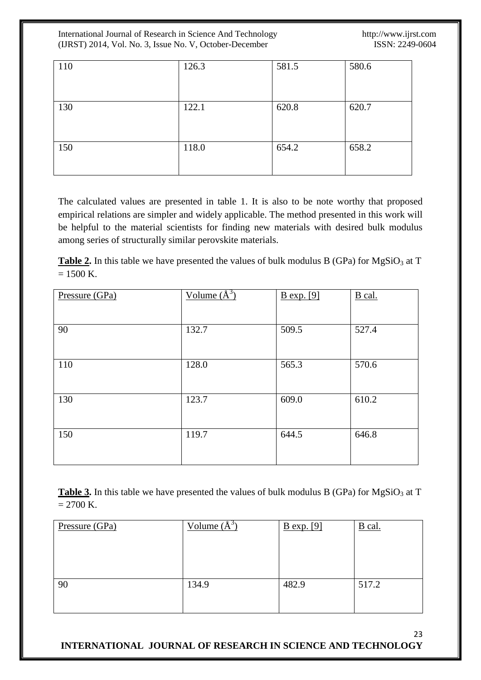International Journal of Research in Science And Technology http://www.ijrst.com (IJRST) 2014, Vol. No. 3, Issue No. V, October-December ISSN: 2249-0604 (IJRST) 2014, Vol. No. 3, Issue No. V, October-December

23

| 110 | 126.3 | 581.5 | 580.6 |
|-----|-------|-------|-------|
| 130 | 122.1 | 620.8 | 620.7 |
| 150 | 118.0 | 654.2 | 658.2 |

The calculated values are presented in table 1. It is also to be note worthy that proposed empirical relations are simpler and widely applicable. The method presented in this work will be helpful to the material scientists for finding new materials with desired bulk modulus among series of structurally similar perovskite materials.

**Table 2.** In this table we have presented the values of bulk modulus B (GPa) for  $MgSiO<sub>3</sub>$  at T  $= 1500$  K.

| Pressure (GPa) | Volume $(\AA^3)$ | <b>B</b> exp. [9] | B cal. |
|----------------|------------------|-------------------|--------|
| 90             | 132.7            | 509.5             | 527.4  |
| 110            | 128.0            | 565.3             | 570.6  |
| 130            | 123.7            | 609.0             | 610.2  |
| 150            | 119.7            | 644.5             | 646.8  |

**Table 3.** In this table we have presented the values of bulk modulus B (GPa) for MgSiO<sub>3</sub> at T  $= 2700$  K.

| Pressure (GPa) | Volume $(A^3)$ | $B \exp[\frac{9}{2}]$ | $B$ cal. |
|----------------|----------------|-----------------------|----------|
| 90             | 134.9          | 482.9                 | 517.2    |

**INTERNATIONAL JOURNAL OF RESEARCH IN SCIENCE AND TECHNOLOGY**